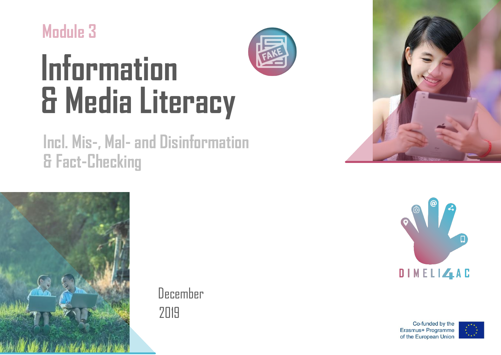**Module 3**

# **Information & Media Literacy**

## **Incl. Mis-, Mal- and Disinformation & Fact-Checking**



December 2019







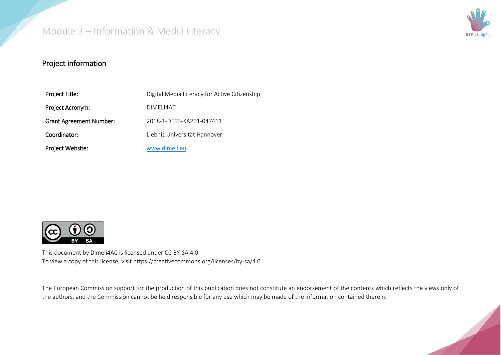

#### Project information

| Project Title:                 | Digital Media Literacy for Active Citizenship |
|--------------------------------|-----------------------------------------------|
| Project Acronym:               | DIMELI4AC                                     |
| <b>Grant Agreement Number:</b> | 2018-1-DE03-KA201-047411                      |
| Coordinator:                   | Liebniz Universität Hannover                  |
| Project Website:               | www.dimeli.eu                                 |



This document by Dimeli4AC is licensed under CC BY-SA 4.0. To view a copy of this license, visit https://creativecommons.org/licenses/by-sa/4.0

The European Commission support for the production of this publication does not constitute an endorsement of the contents which reflects the views only of the authors, and the Commission cannot be held responsible for any use which may be made of the information contained therein.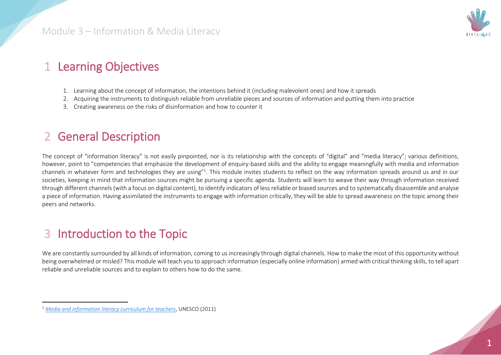

#### 1 Learning Objectives

- 1. Learning about the concept of information, the intentions behind it (including malevolent ones) and how it spreads
- 2. Acquiring the instruments to distinguish reliable from unreliable pieces and sources of information and putting them into practice
- 3. Creating awareness on the risks of disinformation and how to counter it

#### 2 General Description

The concept of "information literacy" is not easily pinpointed, nor is its relationship with the concepts of "digital" and "media literacy"; various definitions, however, point to "competencies that emphasize the development of enquiry-based skills and the ability to engage meaningfully with media and information channels in whatever form and technologies they are using"<sup>1</sup>. This module invites students to reflect on the way information spreads around us and in our societies, keeping in mind that information sources might be pursuing a specific agenda. Students will learn to weave their way through information received through different channels (with a focus on digital content), to identify indicators of less reliable or biased sources and to systematically disassemble and analyse a piece of information. Having assimilated the instruments to engage with information critically, they will be able to spread awareness on the topic among their peers and networks.

### 3 Introduction to the Topic

 $\ddot{\phantom{a}}$ 

We are constantly surrounded by all kinds of information, coming to us increasingly through digital channels. How to make the most of this opportunity without being overwhelmed or misled? This module will teach you to approach information (especially online information) armed with critical thinking skills, to tell apart reliable and unreliable sources and to explain to others how to do the same.

<sup>1</sup> *[Media and information literacy curriculum for teachers](https://unesdoc.unesco.org/in/documentViewer.xhtml?v=2.1.196&id=p::usmarcdef_0000192971&file=/in/rest/annotationSVC/DownloadWatermarkedAttachment/attach_import_151c732c-c7fd-46f4-9251-5e742c0b8547%3F_%3D192971eng.pdf&locale=en&multi=true&ark=/ark:/48223/pf0000192971/PDF/192971eng.pdf#%5B%7B%22num%22%3A49%2C%22gen%22%3A0%7D%2C%7B%22name%22%3A%22XYZ%22%7D%2Cnull%2Cnull%2C0%5D)*, UNESCO (2011)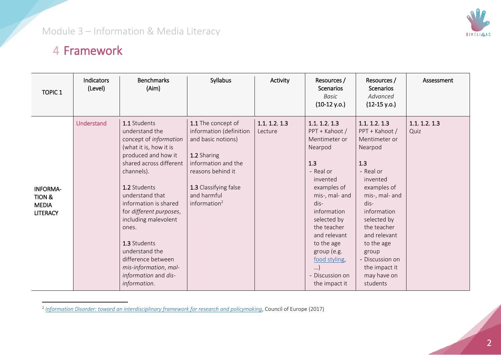#### 4 Framework

| <b>TOPIC 1</b>                                               | Indicators<br>(Level) | <b>Benchmarks</b><br>(Aim)                                                                                                                                                                                                                                                                                                                                                                          | Syllabus                                                                                                                                                                                  | Activity                 | Resources /<br>Scenarios<br><b>Basic</b><br>$(10-12 y.o.)$                                                                                                                                                                                                                                      | Resources /<br><b>Scenarios</b><br>Advanced<br>$(12-15 y.o.)$                                                                                                                                                                                                                           | Assessment            |
|--------------------------------------------------------------|-----------------------|-----------------------------------------------------------------------------------------------------------------------------------------------------------------------------------------------------------------------------------------------------------------------------------------------------------------------------------------------------------------------------------------------------|-------------------------------------------------------------------------------------------------------------------------------------------------------------------------------------------|--------------------------|-------------------------------------------------------------------------------------------------------------------------------------------------------------------------------------------------------------------------------------------------------------------------------------------------|-----------------------------------------------------------------------------------------------------------------------------------------------------------------------------------------------------------------------------------------------------------------------------------------|-----------------------|
| <b>INFORMA-</b><br>TION &<br><b>MEDIA</b><br><b>LITERACY</b> | <b>Understand</b>     | 1.1 Students<br>understand the<br>concept of information<br>(what it is, how it is<br>produced and how it<br>shared across different<br>channels).<br>1.2 Students<br>understand that<br>information is shared<br>for different purposes,<br>including malevolent<br>ones.<br>1.3 Students<br>understand the<br>difference between<br>mis-information, mal-<br>information and dis-<br>information. | 1.1 The concept of<br>information (definition<br>and basic notions)<br>1.2 Sharing<br>information and the<br>reasons behind it<br>1.3 Classifying false<br>and harmful<br>information $2$ | 1.1, 1.2, 1.3<br>Lecture | 1.1, 1.2, 1.3<br>PPT + Kahoot /<br>Mentimeter or<br>Nearpod<br>1.3<br>- Real or<br>invented<br>examples of<br>mis-, mal- and<br>dis-<br>information<br>selected by<br>the teacher<br>and relevant<br>to the age<br>group (e.g.<br>food styling,<br>$\ldots$<br>- Discussion on<br>the impact it | 1.1, 1.2, 1.3<br>PPT + Kahoot /<br>Mentimeter or<br>Nearpod<br>1.3<br>- Real or<br>invented<br>examples of<br>mis-, mal- and<br>dis-<br>information<br>selected by<br>the teacher<br>and relevant<br>to the age<br>group<br>- Discussion on<br>the impact it<br>may have on<br>students | 1.1, 1.2, 1.3<br>Quiz |

 2 *[Information Disorder: toward an interdisciplinary framework for research and policymaking](https://rm.coe.int/information-disorder-toward-an-interdisciplinary-framework-for-researc/168076277c)*, Council of Europe (2017)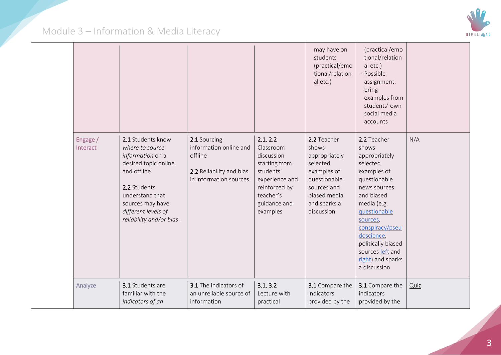

|                      |                                                                                                                                                                                                            |                                                                                                         |                                                                                                                                               | may have on<br>students<br>(practical/emo<br>tional/relation<br>al etc.)                                                                      | (practical/emo<br>tional/relation<br>al etc.)<br>- Possible<br>assignment:<br>bring<br>examples from<br>students' own<br>social media<br>accounts                                                                                                                         |      |
|----------------------|------------------------------------------------------------------------------------------------------------------------------------------------------------------------------------------------------------|---------------------------------------------------------------------------------------------------------|-----------------------------------------------------------------------------------------------------------------------------------------------|-----------------------------------------------------------------------------------------------------------------------------------------------|---------------------------------------------------------------------------------------------------------------------------------------------------------------------------------------------------------------------------------------------------------------------------|------|
| Engage /<br>Interact | 2.1 Students know<br>where to source<br>information on a<br>desired topic online<br>and offline.<br>2.2 Students<br>understand that<br>sources may have<br>different levels of<br>reliability and/or bias. | 2.1 Sourcing<br>information online and<br>offline<br>2.2 Reliability and bias<br>in information sources | 2.1, 2.2<br>Classroom<br>discussion<br>starting from<br>students'<br>experience and<br>reinforced by<br>teacher's<br>guidance and<br>examples | 2.2 Teacher<br>shows<br>appropriately<br>selected<br>examples of<br>questionable<br>sources and<br>biased media<br>and sparks a<br>discussion | 2.2 Teacher<br>shows<br>appropriately<br>selected<br>examples of<br>questionable<br>news sources<br>and biased<br>media (e.g.<br>questionable<br>sources,<br>conspiracy/pseu<br>doscience,<br>politically biased<br>sources left and<br>right) and sparks<br>a discussion | N/A  |
| Analyze              | 3.1 Students are<br>familiar with the<br>indicators of an                                                                                                                                                  | 3.1 The indicators of<br>an unreliable source of<br>information                                         | 3.1, 3.2<br>Lecture with<br>practical                                                                                                         | 3.1 Compare the<br>indicators<br>provided by the                                                                                              | 3.1 Compare the<br>indicators<br>provided by the                                                                                                                                                                                                                          | Quiz |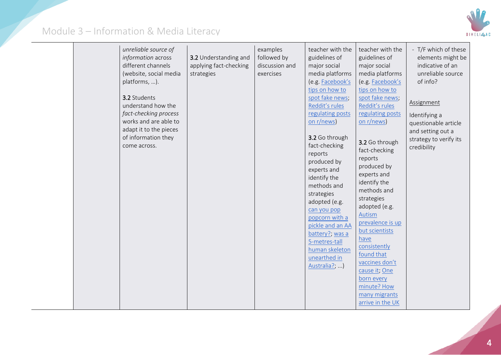

|  |  | unreliable source of<br>information across<br>different channels<br>(website, social media<br>platforms, ).<br>3.2 Students<br>understand how the<br>fact-checking process<br>works and are able to<br>adapt it to the pieces<br>of information they<br>come across. | 3.2 Understanding and<br>applying fact-checking<br>strategies | examples<br>followed by<br>discussion and<br>exercises | teacher with the<br>guidelines of<br>major social<br>media platforms<br>(e.g. Facebook's<br>tips on how to<br>spot fake news;<br>Reddit's rules<br>regulating posts<br>on r/news)<br>3.2 Go through<br>fact-checking<br>reports<br>produced by<br>experts and<br>identify the<br>methods and<br>strategies<br>adopted (e.g.<br>can you pop<br>popcorn with a<br>pickle and an AA<br>battery?; was a<br>5-metres-tall<br>human skeleton<br>unearthed in<br>Australia?; ) | teacher with the<br>guidelines of<br>major social<br>media platforms<br>(e.g. Facebook's<br>tips on how to<br>spot fake news;<br>Reddit's rules<br>regulating posts<br>on r/news)<br>3.2 Go through<br>fact-checking<br>reports<br>produced by<br>experts and<br>identify the<br>methods and<br>strategies<br>adopted (e.g.<br>Autism<br>prevalence is up<br>but scientists<br>have<br>consistently<br>found that<br>vaccines don't<br>cause it; One<br>born every<br>minute? How<br>many migrants<br>arrive in the UK | - T/F which of these<br>elements might be<br>indicative of an<br>unreliable source<br>of info?<br>Assignment<br>Identifying a<br>questionable article<br>and setting out a<br>strategy to verify its<br>credibility |
|--|--|----------------------------------------------------------------------------------------------------------------------------------------------------------------------------------------------------------------------------------------------------------------------|---------------------------------------------------------------|--------------------------------------------------------|-------------------------------------------------------------------------------------------------------------------------------------------------------------------------------------------------------------------------------------------------------------------------------------------------------------------------------------------------------------------------------------------------------------------------------------------------------------------------|------------------------------------------------------------------------------------------------------------------------------------------------------------------------------------------------------------------------------------------------------------------------------------------------------------------------------------------------------------------------------------------------------------------------------------------------------------------------------------------------------------------------|---------------------------------------------------------------------------------------------------------------------------------------------------------------------------------------------------------------------|
|--|--|----------------------------------------------------------------------------------------------------------------------------------------------------------------------------------------------------------------------------------------------------------------------|---------------------------------------------------------------|--------------------------------------------------------|-------------------------------------------------------------------------------------------------------------------------------------------------------------------------------------------------------------------------------------------------------------------------------------------------------------------------------------------------------------------------------------------------------------------------------------------------------------------------|------------------------------------------------------------------------------------------------------------------------------------------------------------------------------------------------------------------------------------------------------------------------------------------------------------------------------------------------------------------------------------------------------------------------------------------------------------------------------------------------------------------------|---------------------------------------------------------------------------------------------------------------------------------------------------------------------------------------------------------------------|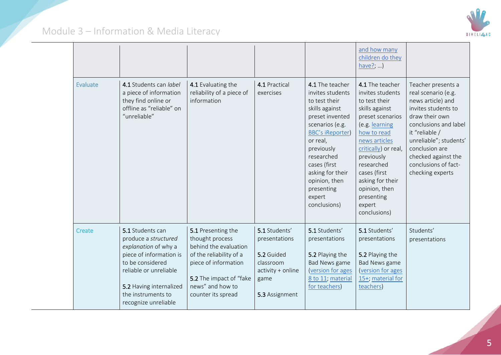

|                 |                                                                                                                                                                                                                    |                                                                                                                                                                                        |                                                                                                          |                                                                                                                                                                                                                                                                              | and how many<br>children do they<br>have?; )                                                                                                                                                                                                                                                  |                                                                                                                                                                                                                                                                   |
|-----------------|--------------------------------------------------------------------------------------------------------------------------------------------------------------------------------------------------------------------|----------------------------------------------------------------------------------------------------------------------------------------------------------------------------------------|----------------------------------------------------------------------------------------------------------|------------------------------------------------------------------------------------------------------------------------------------------------------------------------------------------------------------------------------------------------------------------------------|-----------------------------------------------------------------------------------------------------------------------------------------------------------------------------------------------------------------------------------------------------------------------------------------------|-------------------------------------------------------------------------------------------------------------------------------------------------------------------------------------------------------------------------------------------------------------------|
| <b>Evaluate</b> | 4.1 Students can label<br>a piece of information<br>they find online or<br>offline as "reliable" on<br>"unreliable"                                                                                                | 4.1 Evaluating the<br>reliability of a piece of<br>information                                                                                                                         | 4.1 Practical<br>exercises                                                                               | 4.1 The teacher<br>invites students<br>to test their<br>skills against<br>preset invented<br>scenarios (e.g.<br><b>BBC's iReporter)</b><br>or real,<br>previously<br>researched<br>cases (first<br>asking for their<br>opinion, then<br>presenting<br>expert<br>conclusions) | 4.1 The teacher<br>invites students<br>to test their<br>skills against<br>preset scenarios<br>(e.g. learning<br>how to read<br>news articles<br>critically) or real,<br>previously<br>researched<br>cases (first<br>asking for their<br>opinion, then<br>presenting<br>expert<br>conclusions) | Teacher presents a<br>real scenario (e.g.<br>news article) and<br>invites students to<br>draw their own<br>conclusions and label<br>it "reliable /<br>unreliable"; students'<br>conclusion are<br>checked against the<br>conclusions of fact-<br>checking experts |
| <b>Create</b>   | 5.1 Students can<br>produce a structured<br>explanation of why a<br>piece of information is<br>to be considered<br>reliable or unreliable<br>5.2 Having internalized<br>the instruments to<br>recognize unreliable | 5.1 Presenting the<br>thought process<br>behind the evaluation<br>of the reliability of a<br>piece of information<br>5.2 The impact of "fake<br>news" and how to<br>counter its spread | 5.1 Students'<br>presentations<br>5.2 Guided<br>classroom<br>activity + online<br>game<br>5.3 Assignment | 5.1 Students'<br>presentations<br>5.2 Playing the<br>Bad News game<br>(version for ages<br>8 to 11; material<br>for teachers)                                                                                                                                                | 5.1 Students'<br>presentations<br>5.2 Playing the<br><b>Bad News game</b><br>(version for ages<br>15+; material for<br>teachers)                                                                                                                                                              | Students'<br>presentations                                                                                                                                                                                                                                        |